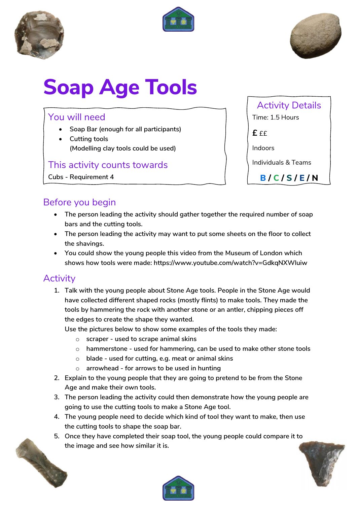





# **Soap Age Tools**

## You will need

- **Soap Bar (enough for all participants)**
- **Cutting tools (Modelling clay tools could be used)**

#### This activity counts towards

**Cubs - Requirement 4**

Activity Details

Time: 1.5 Hours

 $f f f$ 

Indoors

Individuals & Teams

**B / C / S / E / N**

## Before you begin

- **The person leading the activity should gather together the required number of soap bars and the cutting tools.**
- **The person leading the activity may want to put some sheets on the floor to collect the shavings.**
- **You could show the young people this video from the Museum of London which shows how tools were made: https://www.youtube.com/watch?v=GdkqNXWluiw**

#### **Activity**

**1. Talk with the young people about Stone Age tools. People in the Stone Age would have collected different shaped rocks (mostly flints) to make tools. They made the tools by hammering the rock with another stone or an antler, chipping pieces off the edges to create the shape they wanted.**

**Use the pictures below to show some examples of the tools they made:**

- o **scraper - used to scrape animal skins**
- o **hammerstone - used for hammering, can be used to make other stone tools**
- o **blade - used for cutting, e.g. meat or animal skins**
- o **arrowhead - for arrows to be used in hunting**
- **2. Explain to the young people that they are going to pretend to be from the Stone Age and make their own tools.**
- **3. The person leading the activity could then demonstrate how the young people are going to use the cutting tools to make a Stone Age tool.**
- **4. The young people need to decide which kind of tool they want to make, then use the cutting tools to shape the soap bar.**
- **5. Once they have completed their soap tool, the young people could compare it to the image and see how similar it is.**





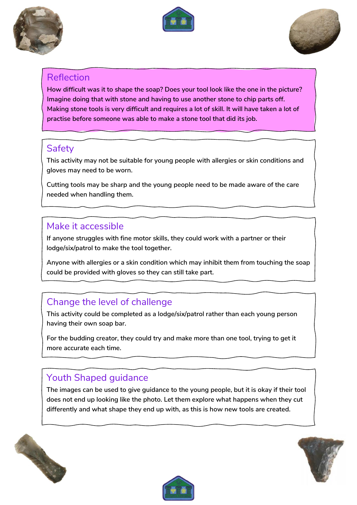





#### Reflection

**How difficult was it to shape the soap? Does your tool look like the one in the picture? Imagine doing that with stone and having to use another stone to chip parts off. Making stone tools is very difficult and requires a lot of skill. It will have taken a lot of practise before someone was able to make a stone tool that did its job.**

#### **Safety**

**This activity may not be suitable for young people with allergies or skin conditions and gloves may need to be worn.**

**Cutting tools may be sharp and the young people need to be made aware of the care needed when handling them.** 

#### Make it accessible

**If anyone struggles with fine motor skills, they could work with a partner or their lodge/six/patrol to make the tool together.**

**Anyone with allergies or a skin condition which may inhibit them from touching the soap could be provided with gloves so they can still take part.**

# Change the level of challenge

**This activity could be completed as a lodge/six/patrol rather than each young person having their own soap bar.** 

**For the budding creator, they could try and make more than one tool, trying to get it more accurate each time.**

# Youth Shaped guidance

**The images can be used to give guidance to the young people, but it is okay if their tool does not end up looking like the photo. Let them explore what happens when they cut differently and what shape they end up with, as this is how new tools are created.**





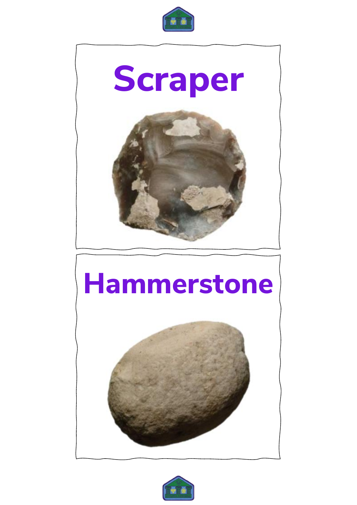